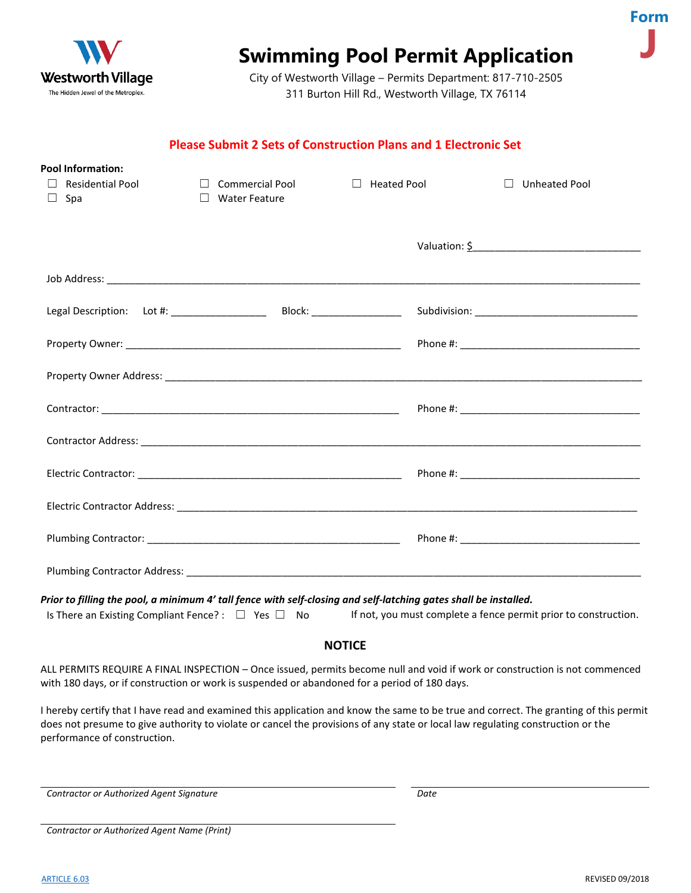

# **Swimming Pool Permit Application**

City of Westworth Village – Permits Department: 817-710-2505 311 Burton Hill Rd., Westworth Village, TX 76114

### **Please Submit 2 Sets of Construction Plans and 1 Electronic Set**

| <b>Pool Information:</b>          |                                  |                               |                                 |
|-----------------------------------|----------------------------------|-------------------------------|---------------------------------|
| <b>Residential Pool</b><br>$\Box$ | $\Box$<br><b>Commercial Pool</b> | <b>Heated Pool</b><br>$\perp$ | $\perp$<br><b>Unheated Pool</b> |
| Spa<br>$\Box$                     | $\Box$<br><b>Water Feature</b>   |                               |                                 |
|                                   |                                  |                               |                                 |
|                                   |                                  |                               |                                 |
|                                   |                                  |                               | Valuation: \$                   |
|                                   |                                  |                               |                                 |
|                                   |                                  |                               |                                 |
|                                   |                                  |                               |                                 |
|                                   |                                  |                               |                                 |
|                                   |                                  |                               |                                 |
|                                   |                                  |                               |                                 |
|                                   |                                  |                               |                                 |
|                                   |                                  |                               |                                 |
|                                   |                                  |                               |                                 |
|                                   |                                  |                               |                                 |
|                                   |                                  |                               |                                 |
|                                   |                                  |                               |                                 |
|                                   |                                  |                               |                                 |
|                                   |                                  |                               |                                 |
|                                   |                                  |                               |                                 |
|                                   |                                  |                               |                                 |
|                                   |                                  |                               |                                 |

*Prior to filling the pool, a minimum 4' tall fence with self-closing and self-latching gates shall be installed.*

| Is There an Existing Compliant Fence?: $\Box$ Yes $\Box$ No |  |  |  | If not, y |
|-------------------------------------------------------------|--|--|--|-----------|
|-------------------------------------------------------------|--|--|--|-----------|

you must complete a fence permit prior to construction.

### **NOTICE**

ALL PERMITS REQUIRE A FINAL INSPECTION – Once issued, permits become null and void if work or construction is not commenced with 180 days, or if construction or work is suspended or abandoned for a period of 180 days.

I hereby certify that I have read and examined this application and know the same to be true and correct. The granting of this permit does not presume to give authority to violate or cancel the provisions of any state or local law regulating construction or the performance of construction.

*Contractor or Authorized Agent Signature Date*

*Contractor or Authorized Agent Name (Print)*

**Form**

**J**